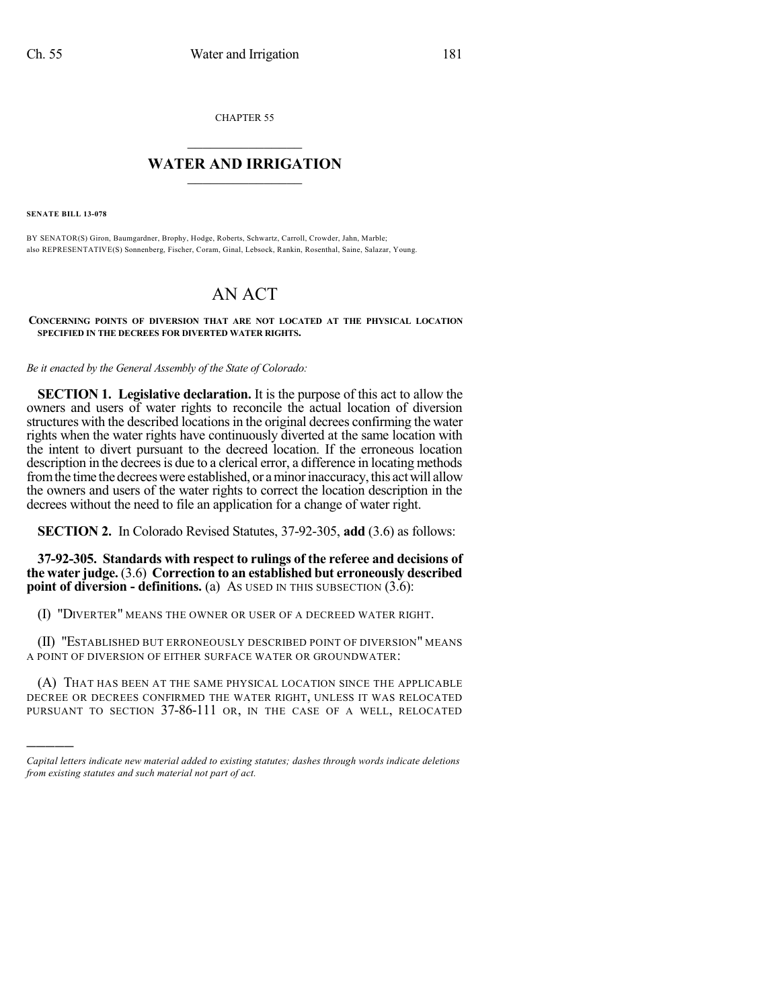CHAPTER 55

## $\mathcal{L}_\text{max}$  . The set of the set of the set of the set of the set of the set of the set of the set of the set of the set of the set of the set of the set of the set of the set of the set of the set of the set of the set **WATER AND IRRIGATION**  $\_$   $\_$

**SENATE BILL 13-078**

)))))

BY SENATOR(S) Giron, Baumgardner, Brophy, Hodge, Roberts, Schwartz, Carroll, Crowder, Jahn, Marble; also REPRESENTATIVE(S) Sonnenberg, Fischer, Coram, Ginal, Lebsock, Rankin, Rosenthal, Saine, Salazar, Young.

## AN ACT

**CONCERNING POINTS OF DIVERSION THAT ARE NOT LOCATED AT THE PHYSICAL LOCATION SPECIFIED IN THE DECREES FOR DIVERTED WATER RIGHTS.**

*Be it enacted by the General Assembly of the State of Colorado:*

**SECTION 1. Legislative declaration.** It is the purpose of this act to allow the owners and users of water rights to reconcile the actual location of diversion structures with the described locations in the original decrees confirming the water rights when the water rights have continuously diverted at the same location with the intent to divert pursuant to the decreed location. If the erroneous location description in the decrees is due to a clerical error, a difference in locating methods from the time the decrees were established, or a minor inaccuracy, this act will allow the owners and users of the water rights to correct the location description in the decrees without the need to file an application for a change of water right.

**SECTION 2.** In Colorado Revised Statutes, 37-92-305, **add** (3.6) as follows:

**37-92-305. Standards with respect to rulings of the referee and decisions of the water judge.** (3.6) **Correction to an established but erroneously described point of diversion - definitions.** (a) As USED IN THIS SUBSECTION (3.6):

(I) "DIVERTER" MEANS THE OWNER OR USER OF A DECREED WATER RIGHT.

(II) "ESTABLISHED BUT ERRONEOUSLY DESCRIBED POINT OF DIVERSION" MEANS A POINT OF DIVERSION OF EITHER SURFACE WATER OR GROUNDWATER:

(A) THAT HAS BEEN AT THE SAME PHYSICAL LOCATION SINCE THE APPLICABLE DECREE OR DECREES CONFIRMED THE WATER RIGHT, UNLESS IT WAS RELOCATED PURSUANT TO SECTION 37-86-111 OR, IN THE CASE OF A WELL, RELOCATED

*Capital letters indicate new material added to existing statutes; dashes through words indicate deletions from existing statutes and such material not part of act.*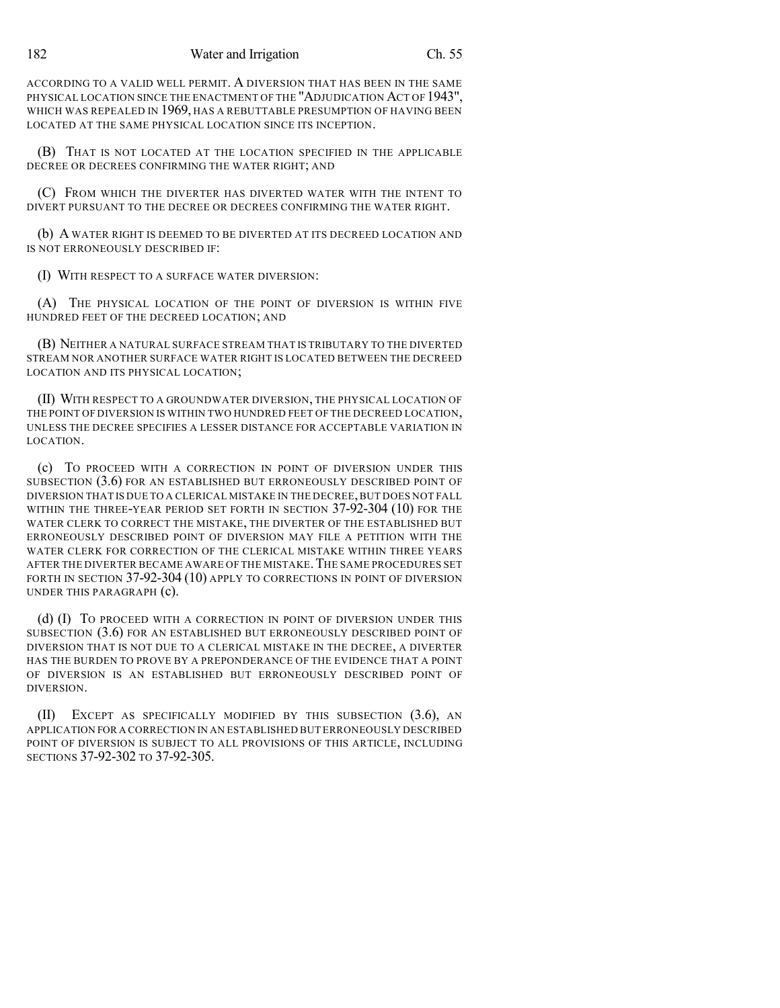ACCORDING TO A VALID WELL PERMIT. A DIVERSION THAT HAS BEEN IN THE SAME PHYSICAL LOCATION SINCE THE ENACTMENT OF THE "ADJUDICATION ACT OF 1943", WHICH WAS REPEALED IN 1969, HAS A REBUTTABLE PRESUMPTION OF HAVING BEEN LOCATED AT THE SAME PHYSICAL LOCATION SINCE ITS INCEPTION.

(B) THAT IS NOT LOCATED AT THE LOCATION SPECIFIED IN THE APPLICABLE DECREE OR DECREES CONFIRMING THE WATER RIGHT; AND

(C) FROM WHICH THE DIVERTER HAS DIVERTED WATER WITH THE INTENT TO DIVERT PURSUANT TO THE DECREE OR DECREES CONFIRMING THE WATER RIGHT.

(b) A WATER RIGHT IS DEEMED TO BE DIVERTED AT ITS DECREED LOCATION AND IS NOT ERRONEOUSLY DESCRIBED IF:

(I) WITH RESPECT TO A SURFACE WATER DIVERSION:

(A) THE PHYSICAL LOCATION OF THE POINT OF DIVERSION IS WITHIN FIVE HUNDRED FEET OF THE DECREED LOCATION; AND

(B) NEITHER A NATURAL SURFACE STREAM THAT IS TRIBUTARY TO THE DIVERTED STREAM NOR ANOTHER SURFACE WATER RIGHT IS LOCATED BETWEEN THE DECREED LOCATION AND ITS PHYSICAL LOCATION;

(II) WITH RESPECT TO A GROUNDWATER DIVERSION, THE PHYSICAL LOCATION OF THE POINT OF DIVERSION IS WITHIN TWO HUNDRED FEET OF THE DECREED LOCATION, UNLESS THE DECREE SPECIFIES A LESSER DISTANCE FOR ACCEPTABLE VARIATION IN LOCATION.

(c) TO PROCEED WITH A CORRECTION IN POINT OF DIVERSION UNDER THIS SUBSECTION (3.6) FOR AN ESTABLISHED BUT ERRONEOUSLY DESCRIBED POINT OF DIVERSION THAT IS DUE TO A CLERICAL MISTAKE IN THE DECREE, BUT DOES NOT FALL WITHIN THE THREE-YEAR PERIOD SET FORTH IN SECTION 37-92-304 (10) FOR THE WATER CLERK TO CORRECT THE MISTAKE, THE DIVERTER OF THE ESTABLISHED BUT ERRONEOUSLY DESCRIBED POINT OF DIVERSION MAY FILE A PETITION WITH THE WATER CLERK FOR CORRECTION OF THE CLERICAL MISTAKE WITHIN THREE YEARS AFTER THE DIVERTER BECAME AWARE OF THE MISTAKE.THE SAME PROCEDURES SET FORTH IN SECTION 37-92-304 (10) APPLY TO CORRECTIONS IN POINT OF DIVERSION UNDER THIS PARAGRAPH (c).

(d) (I) TO PROCEED WITH A CORRECTION IN POINT OF DIVERSION UNDER THIS SUBSECTION (3.6) FOR AN ESTABLISHED BUT ERRONEOUSLY DESCRIBED POINT OF DIVERSION THAT IS NOT DUE TO A CLERICAL MISTAKE IN THE DECREE, A DIVERTER HAS THE BURDEN TO PROVE BY A PREPONDERANCE OF THE EVIDENCE THAT A POINT OF DIVERSION IS AN ESTABLISHED BUT ERRONEOUSLY DESCRIBED POINT OF DIVERSION.

(II) EXCEPT AS SPECIFICALLY MODIFIED BY THIS SUBSECTION (3.6), AN APPLICATION FOR A CORRECTION IN AN ESTABLISHED BUT ERRONEOUSLY DESCRIBED POINT OF DIVERSION IS SUBJECT TO ALL PROVISIONS OF THIS ARTICLE, INCLUDING SECTIONS 37-92-302 TO 37-92-305.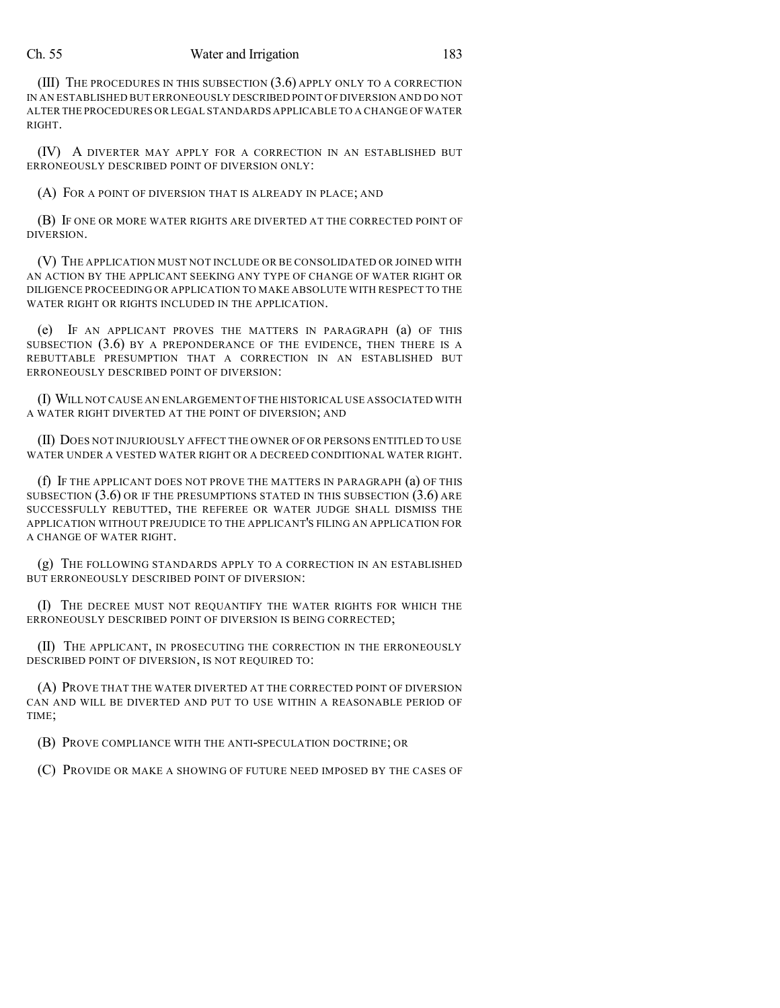## Ch. 55 Water and Irrigation 183

(III) THE PROCEDURES IN THIS SUBSECTION (3.6) APPLY ONLY TO A CORRECTION IN AN ESTABLISHED BUT ERRONEOUSLY DESCRIBED POINT OF DIVERSION AND DO NOT ALTER THE PROCEDURES OR LEGAL STANDARDS APPLICABLE TO A CHANGE OF WATER RIGHT.

(IV) A DIVERTER MAY APPLY FOR A CORRECTION IN AN ESTABLISHED BUT ERRONEOUSLY DESCRIBED POINT OF DIVERSION ONLY:

(A) FOR A POINT OF DIVERSION THAT IS ALREADY IN PLACE; AND

(B) IF ONE OR MORE WATER RIGHTS ARE DIVERTED AT THE CORRECTED POINT OF DIVERSION.

(V) THE APPLICATION MUST NOT INCLUDE OR BE CONSOLIDATED OR JOINED WITH AN ACTION BY THE APPLICANT SEEKING ANY TYPE OF CHANGE OF WATER RIGHT OR DILIGENCE PROCEEDING OR APPLICATION TO MAKE ABSOLUTE WITH RESPECT TO THE WATER RIGHT OR RIGHTS INCLUDED IN THE APPLICATION.

(e) IF AN APPLICANT PROVES THE MATTERS IN PARAGRAPH (a) OF THIS SUBSECTION (3.6) BY A PREPONDERANCE OF THE EVIDENCE, THEN THERE IS A REBUTTABLE PRESUMPTION THAT A CORRECTION IN AN ESTABLISHED BUT ERRONEOUSLY DESCRIBED POINT OF DIVERSION:

(I) WILL NOT CAUSE AN ENLARGEMENT OF THE HISTORICAL USE ASSOCIATED WITH A WATER RIGHT DIVERTED AT THE POINT OF DIVERSION; AND

(II) DOES NOT INJURIOUSLY AFFECT THE OWNER OF OR PERSONS ENTITLED TO USE WATER UNDER A VESTED WATER RIGHT OR A DECREED CONDITIONAL WATER RIGHT.

(f) IF THE APPLICANT DOES NOT PROVE THE MATTERS IN PARAGRAPH (a) OF THIS SUBSECTION  $(3.6)$  OR IF THE PRESUMPTIONS STATED IN THIS SUBSECTION  $(3.6)$  ARE SUCCESSFULLY REBUTTED, THE REFEREE OR WATER JUDGE SHALL DISMISS THE APPLICATION WITHOUT PREJUDICE TO THE APPLICANT'S FILING AN APPLICATION FOR A CHANGE OF WATER RIGHT.

(g) THE FOLLOWING STANDARDS APPLY TO A CORRECTION IN AN ESTABLISHED BUT ERRONEOUSLY DESCRIBED POINT OF DIVERSION:

(I) THE DECREE MUST NOT REQUANTIFY THE WATER RIGHTS FOR WHICH THE ERRONEOUSLY DESCRIBED POINT OF DIVERSION IS BEING CORRECTED;

(II) THE APPLICANT, IN PROSECUTING THE CORRECTION IN THE ERRONEOUSLY DESCRIBED POINT OF DIVERSION, IS NOT REQUIRED TO:

(A) PROVE THAT THE WATER DIVERTED AT THE CORRECTED POINT OF DIVERSION CAN AND WILL BE DIVERTED AND PUT TO USE WITHIN A REASONABLE PERIOD OF TIME;

(B) PROVE COMPLIANCE WITH THE ANTI-SPECULATION DOCTRINE; OR

(C) PROVIDE OR MAKE A SHOWING OF FUTURE NEED IMPOSED BY THE CASES OF